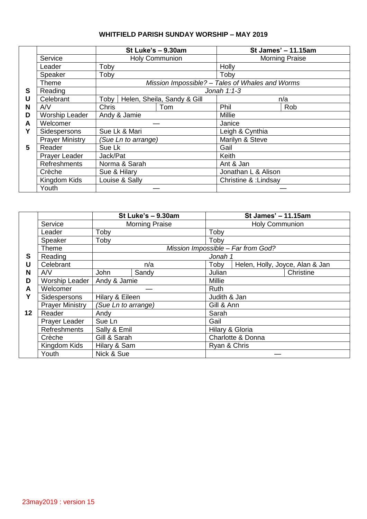## **WHITFIELD PARISH SUNDAY WORSHIP – MAY 2019**

|   |                        |                                            | St Luke's - 9.30am    | St James' - 11.15am                             |                 |  |  |
|---|------------------------|--------------------------------------------|-----------------------|-------------------------------------------------|-----------------|--|--|
|   | Service                |                                            | <b>Holy Communion</b> | <b>Morning Praise</b>                           |                 |  |  |
|   | Leader                 | Toby                                       |                       | Holly                                           |                 |  |  |
|   | Speaker                | Toby                                       |                       | Toby                                            |                 |  |  |
|   | Theme                  |                                            |                       | Mission Impossible? - Tales of Whales and Worms |                 |  |  |
| S | Reading                |                                            |                       | Jonah $1:1-3$                                   |                 |  |  |
| U | Celebrant              | Toby<br>Helen, Sheila, Sandy & Gill<br>n/a |                       |                                                 |                 |  |  |
| N | A/V                    | <b>Chris</b>                               | Tom                   | Phil                                            | Rob             |  |  |
| D | <b>Worship Leader</b>  | Andy & Jamie                               |                       |                                                 | Millie          |  |  |
| A | Welcomer               |                                            |                       |                                                 | Janice          |  |  |
| Y | Sidespersons           | Sue Lk & Mari                              |                       | Leigh & Cynthia                                 |                 |  |  |
|   | <b>Prayer Ministry</b> |                                            | (Sue Ln to arrange)   |                                                 | Marilyn & Steve |  |  |
| 5 | Reader                 | Sue Lk                                     | Jack/Pat              |                                                 | Gail            |  |  |
|   | Prayer Leader          |                                            |                       |                                                 | Keith           |  |  |
|   | <b>Refreshments</b>    | Norma & Sarah                              |                       | Ant & Jan                                       |                 |  |  |
|   | Crèche                 | Sue & Hilary                               |                       | Jonathan L & Alison                             |                 |  |  |
|   | Kingdom Kids           | Louise & Sally                             |                       | Christine & : Lindsay                           |                 |  |  |
|   | Youth                  |                                            |                       |                                                 |                 |  |  |

|                 |                        |                                               | St Luke's - 9.30am | St James' - 11.15am                     |                       |           |  |
|-----------------|------------------------|-----------------------------------------------|--------------------|-----------------------------------------|-----------------------|-----------|--|
|                 | Service                | <b>Morning Praise</b>                         |                    |                                         | <b>Holy Communion</b> |           |  |
|                 | Leader                 | Toby                                          |                    | Toby                                    |                       |           |  |
|                 | Speaker                | Toby                                          |                    |                                         | Toby                  |           |  |
|                 | <b>Theme</b>           | Mission Impossible - Far from God?<br>Jonah 1 |                    |                                         |                       |           |  |
| S               | Reading                |                                               |                    |                                         |                       |           |  |
| U               | Celebrant              |                                               | n/a                | Helen, Holly, Joyce, Alan & Jan<br>Toby |                       |           |  |
| N               | A/V                    | John                                          | Sandy              | Julian                                  |                       | Christine |  |
| D               | <b>Worship Leader</b>  | Andy & Jamie                                  |                    |                                         | Millie                |           |  |
| A               | Welcomer               |                                               |                    | Ruth                                    |                       |           |  |
| Υ               | Sidespersons           | Hilary & Eileen                               |                    | Judith & Jan                            |                       |           |  |
|                 | <b>Prayer Ministry</b> | (Sue Ln to arrange)                           |                    | Gill & Ann                              |                       |           |  |
| 12 <sub>2</sub> | Reader                 | Andy<br>Sue Ln<br>Sally & Emil                |                    | Sarah                                   |                       |           |  |
|                 | Prayer Leader          |                                               |                    | Gail                                    |                       |           |  |
|                 | <b>Refreshments</b>    |                                               |                    | Hilary & Gloria                         |                       |           |  |
|                 | Crèche                 | Gill & Sarah                                  |                    | Charlotte & Donna                       |                       |           |  |
|                 | Kingdom Kids           | Hilary & Sam                                  |                    | Ryan & Chris                            |                       |           |  |
|                 | Youth                  | Nick & Sue                                    |                    |                                         |                       |           |  |